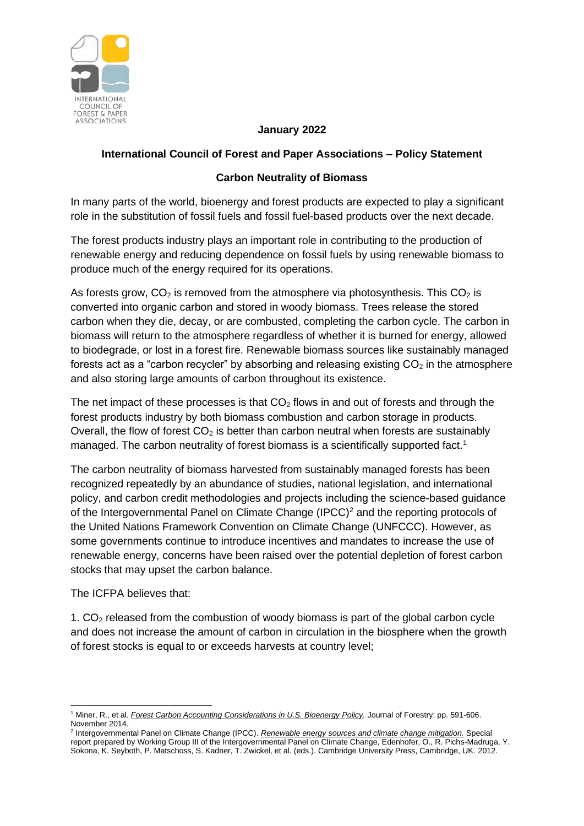

## **January 2022**

## **International Council of Forest and Paper Associations – Policy Statement**

## **Carbon Neutrality of Biomass**

In many parts of the world, bioenergy and forest products are expected to play a significant role in the substitution of fossil fuels and fossil fuel-based products over the next decade.

The forest products industry plays an important role in contributing to the production of renewable energy and reducing dependence on fossil fuels by using renewable biomass to produce much of the energy required for its operations.

As forests grow,  $CO<sub>2</sub>$  is removed from the atmosphere via photosynthesis. This  $CO<sub>2</sub>$  is converted into organic carbon and stored in woody biomass. Trees release the stored carbon when they die, decay, or are combusted, completing the carbon cycle. The carbon in biomass will return to the atmosphere regardless of whether it is burned for energy, allowed to biodegrade, or lost in a forest fire. Renewable biomass sources like sustainably managed forests act as a "carbon recycler" by absorbing and releasing existing  $CO<sub>2</sub>$  in the atmosphere and also storing large amounts of carbon throughout its existence.

The net impact of these processes is that  $CO<sub>2</sub>$  flows in and out of forests and through the forest products industry by both biomass combustion and carbon storage in products. Overall, the flow of forest  $CO<sub>2</sub>$  is better than carbon neutral when forests are sustainably managed. The carbon neutrality of forest biomass is a scientifically supported fact.<sup>1</sup>

The carbon neutrality of biomass harvested from sustainably managed forests has been recognized repeatedly by an abundance of studies, national legislation, and international policy, and carbon credit methodologies and projects including the science-based guidance of the Intergovernmental Panel on Climate Change (IPCC)<sup>2</sup> and the reporting protocols of the United Nations Framework Convention on Climate Change (UNFCCC). However, as some governments continue to introduce incentives and mandates to increase the use of renewable energy, concerns have been raised over the potential depletion of forest carbon stocks that may upset the carbon balance.

The ICFPA believes that:

1. CO<sup>2</sup> released from the combustion of woody biomass is part of the global carbon cycle and does not increase the amount of carbon in circulation in the biosphere when the growth of forest stocks is equal to or exceeds harvests at country level;

<sup>1</sup> Miner, R., et al. *Forest Carbon Accounting Considerations in U.S. Bioenergy Policy.* Journal of Forestry: pp. 591-606. November 2014.

<sup>2</sup> Intergovernmental Panel on Climate Change (IPCC). *Renewable energy sources and climate change mitigation.* Special report prepared by Working Group III of the Intergovernmental Panel on Climate Change, Edenhofer, O., R. Pichs-Madruga, Y. Sokona, K. Seyboth, P. Matschoss, S. Kadner, T. Zwickel, et al. (eds.). Cambridge University Press, Cambridge, UK. 2012.